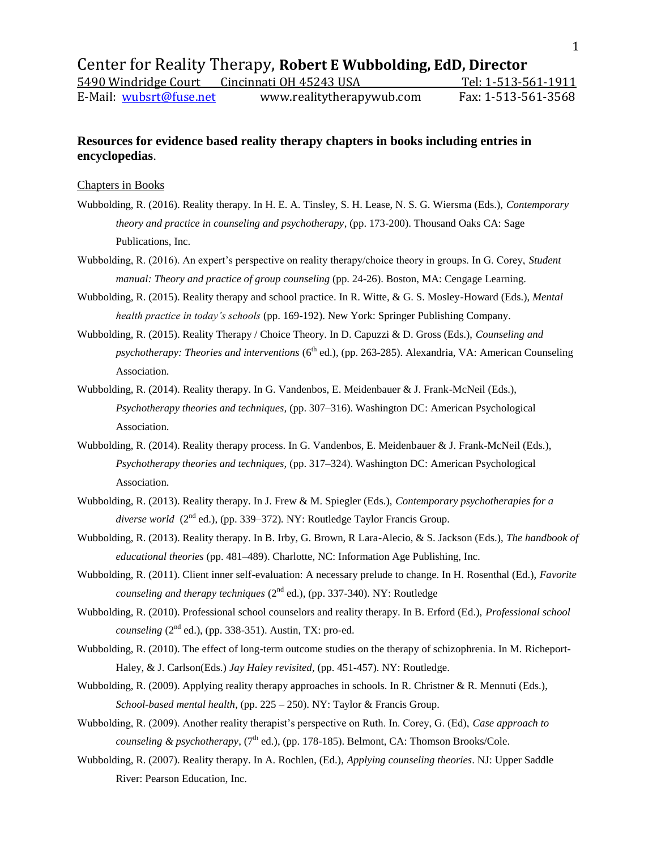## **Resources for evidence based reality therapy chapters in books including entries in encyclopedias**.

## Chapters in Books

- Wubbolding, R. (2016). Reality therapy. In H. E. A. Tinsley, S. H. Lease, N. S. G. Wiersma (Eds.), *Contemporary theory and practice in counseling and psychotherapy*, (pp. 173-200). Thousand Oaks CA: Sage Publications, Inc.
- Wubbolding, R. (2016). An expert's perspective on reality therapy/choice theory in groups. In G. Corey, *Student manual: Theory and practice of group counseling* (pp. 24-26). Boston, MA: Cengage Learning.
- Wubbolding, R. (2015). Reality therapy and school practice. In R. Witte, & G. S. Mosley-Howard (Eds.), *Mental health practice in today's schools* (pp. 169-192). New York: Springer Publishing Company.
- Wubbolding, R. (2015). Reality Therapy / Choice Theory. In D. Capuzzi & D. Gross (Eds.), *Counseling and psychotherapy: Theories and interventions* (6<sup>th</sup> ed.), (pp. 263-285). Alexandria, VA: American Counseling Association.
- Wubbolding, R. (2014). Reality therapy. In G. Vandenbos, E. Meidenbauer & J. Frank-McNeil (Eds.), *Psychotherapy theories and techniques,* (pp. 307–316). Washington DC: American Psychological Association.
- Wubbolding, R. (2014). Reality therapy process. In G. Vandenbos, E. Meidenbauer & J. Frank-McNeil (Eds.), *Psychotherapy theories and techniques,* (pp. 317–324). Washington DC: American Psychological Association.
- Wubbolding, R. (2013). Reality therapy. In J. Frew & M. Spiegler (Eds.), *Contemporary psychotherapies for a*  diverse world (2<sup>nd</sup> ed.), (pp. 339–372). NY: Routledge Taylor Francis Group.
- Wubbolding, R. (2013). Reality therapy. In B. Irby, G. Brown, R Lara-Alecio, & S. Jackson (Eds.), *The handbook of educational theories* (pp. 481–489). Charlotte, NC: Information Age Publishing, Inc.
- Wubbolding, R. (2011). Client inner self-evaluation: A necessary prelude to change. In H. Rosenthal (Ed.), *Favorite counseling and therapy techniques*  $(2^{nd}$  ed.), (pp. 337-340). NY: Routledge
- Wubbolding, R. (2010). Professional school counselors and reality therapy. In B. Erford (Ed.), *Professional school counseling* ( $2<sup>nd</sup>$  ed.), (pp. 338-351). Austin, TX: pro-ed.
- Wubbolding, R. (2010). The effect of long-term outcome studies on the therapy of schizophrenia. In M. Richeport-Haley, & J. Carlson(Eds.) *Jay Haley revisited*, (pp. 451-457). NY: Routledge.
- Wubbolding, R. (2009). Applying reality therapy approaches in schools. In R. Christner & R. Mennuti (Eds.), *School-based mental health*, (pp. 225 – 250). NY: Taylor & Francis Group.
- Wubbolding, R. (2009). Another reality therapist's perspective on Ruth. In. Corey, G. (Ed), *Case approach to counseling & psychotherapy*,  $(7<sup>th</sup>$  ed.), (pp. 178-185). Belmont, CA: Thomson Brooks/Cole.
- Wubbolding, R. (2007). Reality therapy. In A. Rochlen, (Ed.), *Applying counseling theories*. NJ: Upper Saddle River: Pearson Education, Inc.